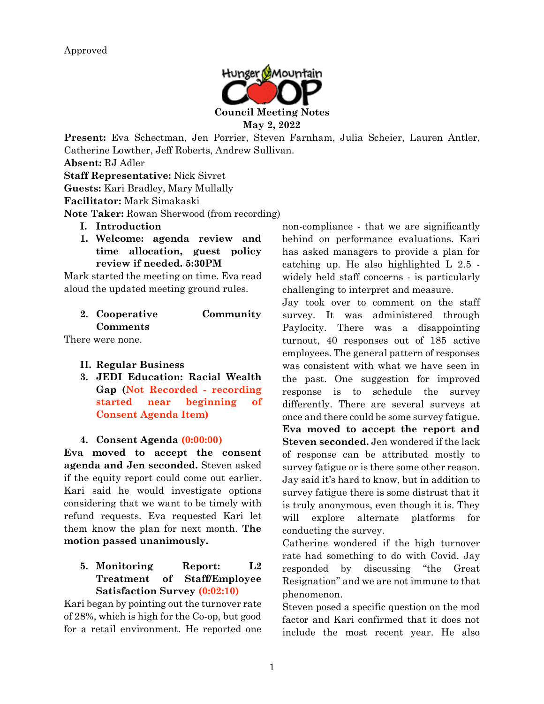

**Present:** Eva Schectman, Jen Porrier, Steven Farnham, Julia Scheier, Lauren Antler, Catherine Lowther, Jeff Roberts, Andrew Sullivan.

**Absent:** RJ Adler

**Staff Representative:** Nick Sivret

**Guests:** Kari Bradley, Mary Mullally

**Facilitator:** Mark Simakaski

**Note Taker:** Rowan Sherwood (from recording)

- **I. Introduction**
- **1. Welcome: agenda review and time allocation, guest policy review if needed. 5:30PM**

Mark started the meeting on time. Eva read aloud the updated meeting ground rules.

| 2. Cooperative  | Community |
|-----------------|-----------|
| <b>Comments</b> |           |

There were none.

- **II. Regular Business**
- **3. JEDI Education: Racial Wealth Gap (Not Recorded - recording started near beginning of Consent Agenda Item)**

#### **4. Consent Agenda (0:00:00)**

**Eva moved to accept the consent agenda and Jen seconded.** Steven asked if the equity report could come out earlier. Kari said he would investigate options considering that we want to be timely with refund requests. Eva requested Kari let them know the plan for next month. **The motion passed unanimously.**

## **5. Monitoring Report: L2 Treatment of Staff/Employee Satisfaction Survey (0:02:10)**

Kari began by pointing out the turnover rate of 28%, which is high for the Co-op, but good for a retail environment. He reported one non-compliance - that we are significantly behind on performance evaluations. Kari has asked managers to provide a plan for catching up. He also highlighted L 2.5 widely held staff concerns - is particularly challenging to interpret and measure.

Jay took over to comment on the staff survey. It was administered through Paylocity. There was a disappointing turnout, 40 responses out of 185 active employees. The general pattern of responses was consistent with what we have seen in the past. One suggestion for improved response is to schedule the survey differently. There are several surveys at once and there could be some survey fatigue. **Eva moved to accept the report and Steven seconded.** Jen wondered if the lack of response can be attributed mostly to survey fatigue or is there some other reason. Jay said it's hard to know, but in addition to survey fatigue there is some distrust that it is truly anonymous, even though it is. They will explore alternate platforms for conducting the survey.

Catherine wondered if the high turnover rate had something to do with Covid. Jay responded by discussing "the Great Resignation" and we are not immune to that phenomenon.

Steven posed a specific question on the mod factor and Kari confirmed that it does not include the most recent year. He also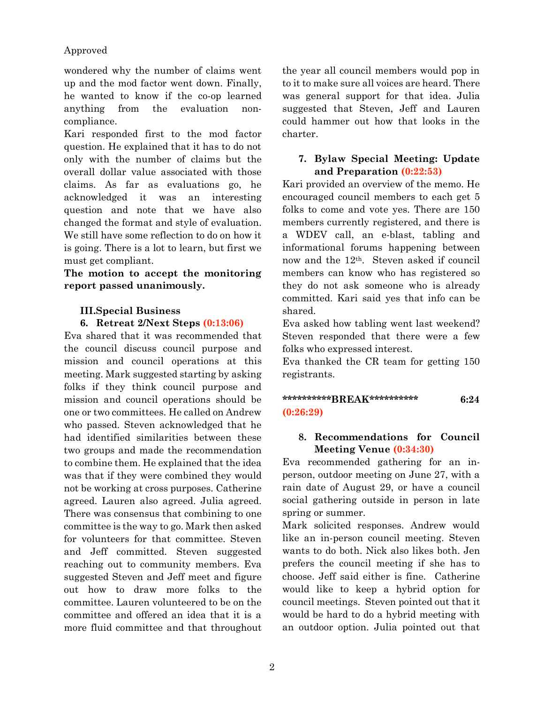#### Approved

wondered why the number of claims went up and the mod factor went down. Finally, he wanted to know if the co-op learned anything from the evaluation noncompliance.

Kari responded first to the mod factor question. He explained that it has to do not only with the number of claims but the overall dollar value associated with those claims. As far as evaluations go, he acknowledged it was an interesting question and note that we have also changed the format and style of evaluation. We still have some reflection to do on how it is going. There is a lot to learn, but first we must get compliant.

**The motion to accept the monitoring report passed unanimously.**

# **III.Special Business**

**6. Retreat 2/Next Steps (0:13:06)**

Eva shared that it was recommended that the council discuss council purpose and mission and council operations at this meeting. Mark suggested starting by asking folks if they think council purpose and mission and council operations should be one or two committees. He called on Andrew who passed. Steven acknowledged that he had identified similarities between these two groups and made the recommendation to combine them. He explained that the idea was that if they were combined they would not be working at cross purposes. Catherine agreed. Lauren also agreed. Julia agreed. There was consensus that combining to one committee is the way to go. Mark then asked for volunteers for that committee. Steven and Jeff committed. Steven suggested reaching out to community members. Eva suggested Steven and Jeff meet and figure out how to draw more folks to the committee. Lauren volunteered to be on the committee and offered an idea that it is a more fluid committee and that throughout the year all council members would pop in to it to make sure all voices are heard. There was general support for that idea. Julia suggested that Steven, Jeff and Lauren could hammer out how that looks in the charter.

## **7. Bylaw Special Meeting: Update and Preparation (0:22:53)**

Kari provided an overview of the memo. He encouraged council members to each get 5 folks to come and vote yes. There are 150 members currently registered, and there is a WDEV call, an e-blast, tabling and informational forums happening between now and the 12th. Steven asked if council members can know who has registered so they do not ask someone who is already committed. Kari said yes that info can be shared.

Eva asked how tabling went last weekend? Steven responded that there were a few folks who expressed interest.

Eva thanked the CR team for getting 150 registrants.

## **\*\*\*\*\*\*\*\*\*\*BREAK\*\*\*\*\*\*\*\*\*\* 6:24 (0:26:29)**

#### **8. Recommendations for Council Meeting Venue (0:34:30)**

Eva recommended gathering for an inperson, outdoor meeting on June 27, with a rain date of August 29, or have a council social gathering outside in person in late spring or summer.

Mark solicited responses. Andrew would like an in-person council meeting. Steven wants to do both. Nick also likes both. Jen prefers the council meeting if she has to choose. Jeff said either is fine. Catherine would like to keep a hybrid option for council meetings. Steven pointed out that it would be hard to do a hybrid meeting with an outdoor option. Julia pointed out that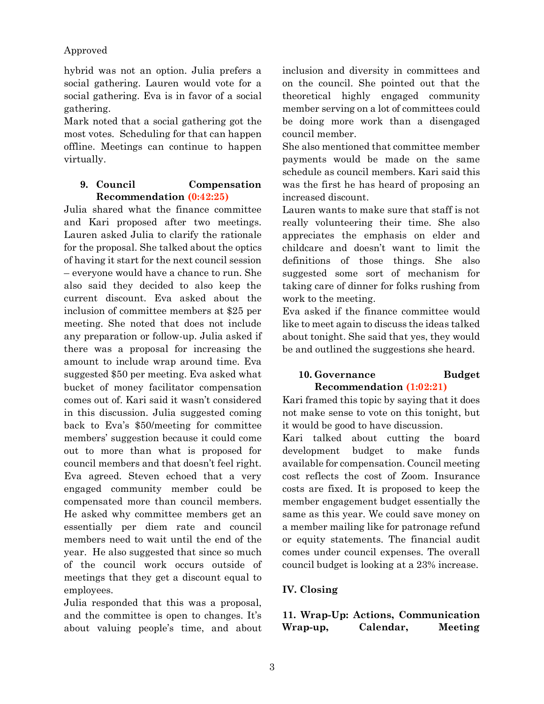## Approved

hybrid was not an option. Julia prefers a social gathering. Lauren would vote for a social gathering. Eva is in favor of a social gathering.

Mark noted that a social gathering got the most votes. Scheduling for that can happen offline. Meetings can continue to happen virtually.

#### **9. Council Compensation Recommendation (0:42:25)**

Julia shared what the finance committee and Kari proposed after two meetings. Lauren asked Julia to clarify the rationale for the proposal. She talked about the optics of having it start for the next council session – everyone would have a chance to run. She also said they decided to also keep the current discount. Eva asked about the inclusion of committee members at \$25 per meeting. She noted that does not include any preparation or follow-up. Julia asked if there was a proposal for increasing the amount to include wrap around time. Eva suggested \$50 per meeting. Eva asked what bucket of money facilitator compensation comes out of. Kari said it wasn't considered in this discussion. Julia suggested coming back to Eva's \$50/meeting for committee members' suggestion because it could come out to more than what is proposed for council members and that doesn't feel right. Eva agreed. Steven echoed that a very engaged community member could be compensated more than council members. He asked why committee members get an essentially per diem rate and council members need to wait until the end of the year. He also suggested that since so much of the council work occurs outside of meetings that they get a discount equal to employees.

Julia responded that this was a proposal, and the committee is open to changes. It's about valuing people's time, and about inclusion and diversity in committees and on the council. She pointed out that the theoretical highly engaged community member serving on a lot of committees could be doing more work than a disengaged council member.

She also mentioned that committee member payments would be made on the same schedule as council members. Kari said this was the first he has heard of proposing an increased discount.

Lauren wants to make sure that staff is not really volunteering their time. She also appreciates the emphasis on elder and childcare and doesn't want to limit the definitions of those things. She also suggested some sort of mechanism for taking care of dinner for folks rushing from work to the meeting.

Eva asked if the finance committee would like to meet again to discuss the ideas talked about tonight. She said that yes, they would be and outlined the suggestions she heard.

## **10. Governance Budget Recommendation (1:02:21)**

Kari framed this topic by saying that it does not make sense to vote on this tonight, but it would be good to have discussion.

Kari talked about cutting the board development budget to make funds available for compensation. Council meeting cost reflects the cost of Zoom. Insurance costs are fixed. It is proposed to keep the member engagement budget essentially the same as this year. We could save money on a member mailing like for patronage refund or equity statements. The financial audit comes under council expenses. The overall council budget is looking at a 23% increase.

## **IV. Closing**

**11. Wrap-Up: Actions, Communication Wrap-up, Calendar, Meeting**